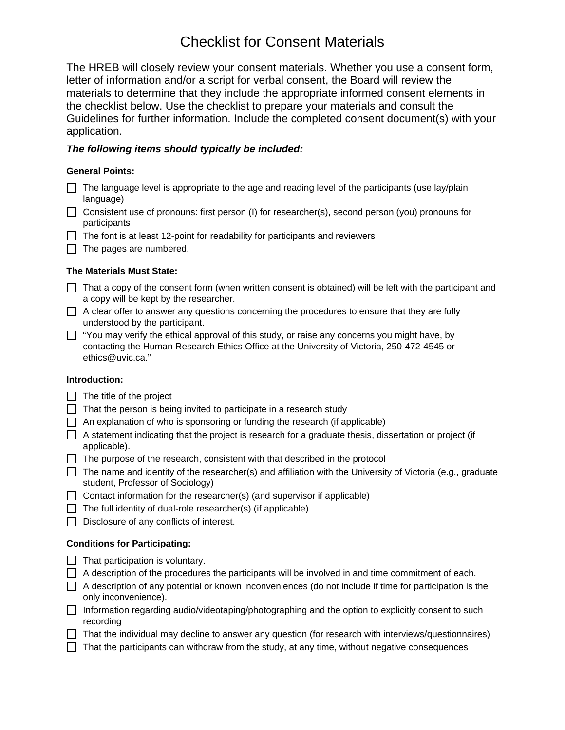# Checklist for Consent Materials

The HREB will closely review your consent materials. Whether you use a consent form, letter of information and/or a script for verbal consent, the Board will review the materials to determine that they include the appropriate informed consent elements in the checklist below. Use the checklist to prepare your materials and consult the Guidelines for further information. Include the completed consent document(s) with your application.

## *The following items should typically be included:*

## **General Points:**

- $\Box$  The language level is appropriate to the age and reading level of the participants (use lay/plain language)
- $\Box$  Consistent use of pronouns: first person (I) for researcher(s), second person (you) pronouns for participants
- $\Box$  The font is at least 12-point for readability for participants and reviewers
- $\Box$  The pages are numbered.

## **The Materials Must State:**

- $\Box$  That a copy of the consent form (when written consent is obtained) will be left with the participant and a copy will be kept by the researcher.
- $\Box$  A clear offer to answer any questions concerning the procedures to ensure that they are fully understood by the participant.
- $\Box$  "You may verify the ethical approval of this study, or raise any concerns you might have, by contacting the Human Research Ethics Office at the University of Victoria, 250-472-4545 or ethics@uvic.ca."

#### **Introduction:**

- $\Box$  The title of the project
- $\Box$  That the person is being invited to participate in a research study
- $\Box$  An explanation of who is sponsoring or funding the research (if applicable)
- $\Box$  A statement indicating that the project is research for a graduate thesis, dissertation or project (if applicable).
- $\Box$  The purpose of the research, consistent with that described in the protocol
- $\Box$  The name and identity of the researcher(s) and affiliation with the University of Victoria (e.g., graduate student, Professor of Sociology)
- $\Box$  Contact information for the researcher(s) (and supervisor if applicable)
- $\Box$  The full identity of dual-role researcher(s) (if applicable)
- $\Box$  Disclosure of any conflicts of interest.

## **Conditions for Participating:**

- $\Box$  That participation is voluntary.
- $\Box$  A description of the procedures the participants will be involved in and time commitment of each.
- $\Box$  A description of any potential or known inconveniences (do not include if time for participation is the only inconvenience).
- Information regarding audio/videotaping/photographing and the option to explicitly consent to such recording
- $\Box$  That the individual may decline to answer any question (for research with interviews/questionnaires)
- $\Box$  That the participants can withdraw from the study, at any time, without negative consequences